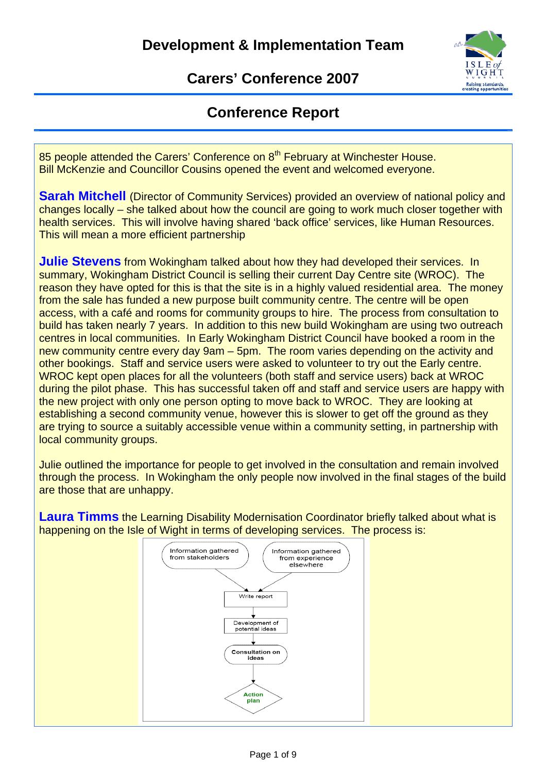$SLE$ WIGHT Raising standards,<br>creating opportunities

**Carers' Conference 2007** 

# **Conference Report**

85 people attended the Carers' Conference on 8<sup>th</sup> February at Winchester House. Bill McKenzie and Councillor Cousins opened the event and welcomed everyone.

**Sarah Mitchell** (Director of Community Services) provided an overview of national policy and changes locally – she talked about how the council are going to work much closer together with health services. This will involve having shared 'back office' services, like Human Resources. This will mean a more efficient partnership

**Julie Stevens** from Wokingham talked about how they had developed their services. In summary, Wokingham District Council is selling their current Day Centre site (WROC). The reason they have opted for this is that the site is in a highly valued residential area. The money from the sale has funded a new purpose built community centre. The centre will be open access, with a café and rooms for community groups to hire. The process from consultation to build has taken nearly 7 years. In addition to this new build Wokingham are using two outreach centres in local communities. In Early Wokingham District Council have booked a room in the new community centre every day 9am – 5pm. The room varies depending on the activity and other bookings. Staff and service users were asked to volunteer to try out the Early centre. WROC kept open places for all the volunteers (both staff and service users) back at WROC during the pilot phase. This has successful taken off and staff and service users are happy with the new project with only one person opting to move back to WROC. They are looking at establishing a second community venue, however this is slower to get off the ground as they are trying to source a suitably accessible venue within a community setting, in partnership with local community groups.

Julie outlined the importance for people to get involved in the consultation and remain involved through the process. In Wokingham the only people now involved in the final stages of the build are those that are unhappy.

**Laura Timms** the Learning Disability Modernisation Coordinator briefly talked about what is happening on the Isle of Wight in terms of developing services. The process is:

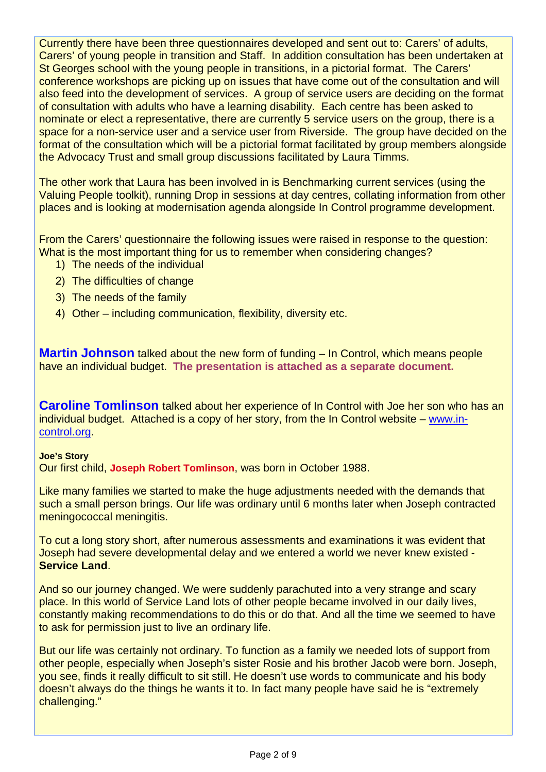Currently there have been three questionnaires developed and sent out to: Carers' of adults, Carers' of young people in transition and Staff. In addition consultation has been undertaken at St Georges school with the young people in transitions, in a pictorial format. The Carers' conference workshops are picking up on issues that have come out of the consultation and will also feed into the development of services. A group of service users are deciding on the format of consultation with adults who have a learning disability. Each centre has been asked to nominate or elect a representative, there are currently 5 service users on the group, there is a space for a non-service user and a service user from Riverside. The group have decided on the format of the consultation which will be a pictorial format facilitated by group members alongside the Advocacy Trust and small group discussions facilitated by Laura Timms.

The other work that Laura has been involved in is Benchmarking current services (using the Valuing People toolkit), running Drop in sessions at day centres, collating information from other places and is looking at modernisation agenda alongside In Control programme development.

From the Carers' questionnaire the following issues were raised in response to the question: What is the most important thing for us to remember when considering changes?

- 1) The needs of the individual
- 2) The difficulties of change
- 3) The needs of the family
- 4) Other including communication, flexibility, diversity etc.

**Martin Johnson** talked about the new form of funding – In Control, which means people have an individual budget. **The presentation is attached as a separate document.**

**Caroline Tomlinson** talked about her experience of In Control with Joe her son who has an individual budget. Attached is a copy of her story, from the In Control website – www.incontrol.org.

#### **Joe's Story**

Our first child, **Joseph Robert Tomlinson**, was born in October 1988.

Like many families we started to make the huge adjustments needed with the demands that such a small person brings. Our life was ordinary until 6 months later when Joseph contracted meningococcal meningitis.

To cut a long story short, after numerous assessments and examinations it was evident that Joseph had severe developmental delay and we entered a world we never knew existed - **Service Land**.

And so our journey changed. We were suddenly parachuted into a very strange and scary place. In this world of Service Land lots of other people became involved in our daily lives, constantly making recommendations to do this or do that. And all the time we seemed to have to ask for permission just to live an ordinary life.

But our life was certainly not ordinary. To function as a family we needed lots of support from other people, especially when Joseph's sister Rosie and his brother Jacob were born. Joseph, you see, finds it really difficult to sit still. He doesn't use words to communicate and his body doesn't always do the things he wants it to. In fact many people have said he is "extremely challenging."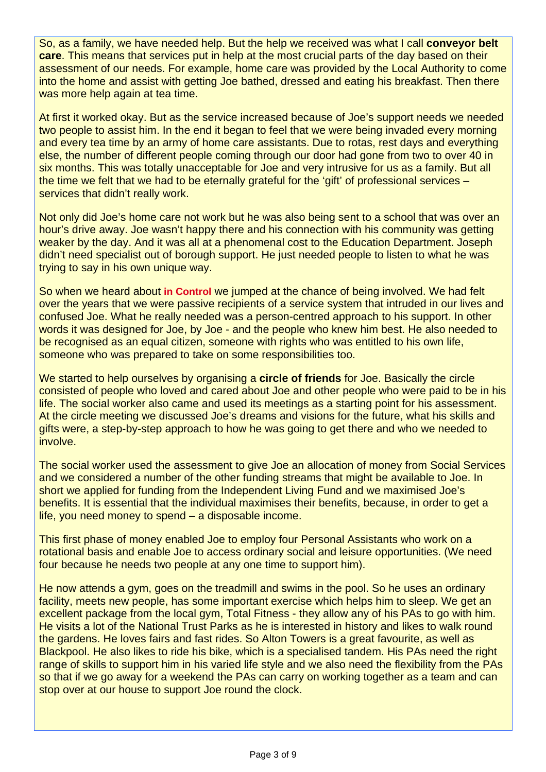So, as a family, we have needed help. But the help we received was what I call **conveyor belt care**. This means that services put in help at the most crucial parts of the day based on their assessment of our needs. For example, home care was provided by the Local Authority to come into the home and assist with getting Joe bathed, dressed and eating his breakfast. Then there was more help again at tea time.

At first it worked okay. But as the service increased because of Joe's support needs we needed two people to assist him. In the end it began to feel that we were being invaded every morning and every tea time by an army of home care assistants. Due to rotas, rest days and everything else, the number of different people coming through our door had gone from two to over 40 in six months. This was totally unacceptable for Joe and very intrusive for us as a family. But all the time we felt that we had to be eternally grateful for the 'gift' of professional services – services that didn't really work.

Not only did Joe's home care not work but he was also being sent to a school that was over an hour's drive away. Joe wasn't happy there and his connection with his community was getting weaker by the day. And it was all at a phenomenal cost to the Education Department. Joseph didn't need specialist out of borough support. He just needed people to listen to what he was trying to say in his own unique wav.

So when we heard about **in Control** we jumped at the chance of being involved. We had felt over the years that we were passive recipients of a service system that intruded in our lives and confused Joe. What he really needed was a person-centred approach to his support. In other words it was designed for Joe, by Joe - and the people who knew him best. He also needed to be recognised as an equal citizen, someone with rights who was entitled to his own life, someone who was prepared to take on some responsibilities too.

We started to help ourselves by organising a **circle of friends** for Joe. Basically the circle consisted of people who loved and cared about Joe and other people who were paid to be in his life. The social worker also came and used its meetings as a starting point for his assessment. At the circle meeting we discussed Joe's dreams and visions for the future, what his skills and gifts were, a step-by-step approach to how he was going to get there and who we needed to involve.

The social worker used the assessment to give Joe an allocation of money from Social Services and we considered a number of the other funding streams that might be available to Joe. In short we applied for funding from the Independent Living Fund and we maximised Joe's benefits. It is essential that the individual maximises their benefits, because, in order to get a life, you need money to spend – a disposable income.

This first phase of money enabled Joe to employ four Personal Assistants who work on a rotational basis and enable Joe to access ordinary social and leisure opportunities. (We need four because he needs two people at any one time to support him).

He now attends a gym, goes on the treadmill and swims in the pool. So he uses an ordinary facility, meets new people, has some important exercise which helps him to sleep. We get an excellent package from the local gym, Total Fitness - they allow any of his PAs to go with him. He visits a lot of the National Trust Parks as he is interested in history and likes to walk round the gardens. He loves fairs and fast rides. So Alton Towers is a great favourite, as well as Blackpool. He also likes to ride his bike, which is a specialised tandem. His PAs need the right range of skills to support him in his varied life style and we also need the flexibility from the PAs so that if we go away for a weekend the PAs can carry on working together as a team and can stop over at our house to support Joe round the clock.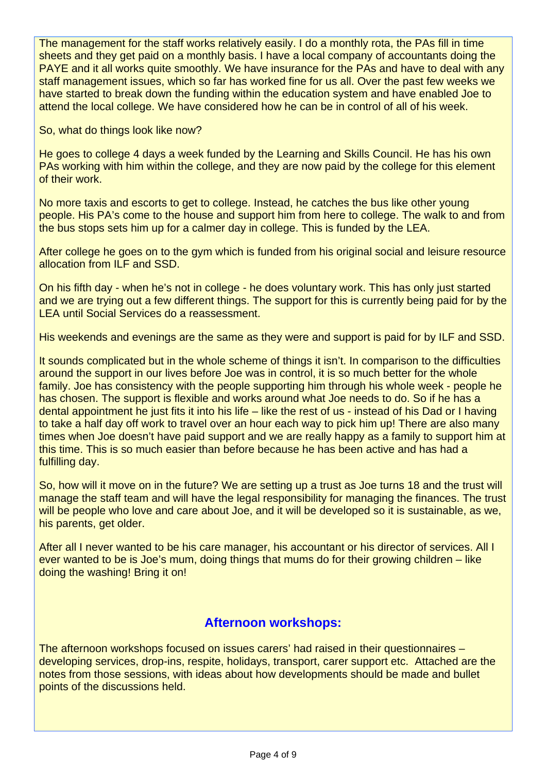The management for the staff works relatively easily. I do a monthly rota, the PAs fill in time sheets and they get paid on a monthly basis. I have a local company of accountants doing the PAYE and it all works quite smoothly. We have insurance for the PAs and have to deal with any staff management issues, which so far has worked fine for us all. Over the past few weeks we have started to break down the funding within the education system and have enabled Joe to attend the local college. We have considered how he can be in control of all of his week.

So, what do things look like now?

He goes to college 4 days a week funded by the Learning and Skills Council. He has his own PAs working with him within the college, and they are now paid by the college for this element of their work.

No more taxis and escorts to get to college. Instead, he catches the bus like other young people. His PA's come to the house and support him from here to college. The walk to and from the bus stops sets him up for a calmer day in college. This is funded by the LEA.

After college he goes on to the gym which is funded from his original social and leisure resource allocation from ILF and SSD.

On his fifth day - when he's not in college - he does voluntary work. This has only just started and we are trying out a few different things. The support for this is currently being paid for by the LEA until Social Services do a reassessment.

His weekends and evenings are the same as they were and support is paid for by ILF and SSD.

It sounds complicated but in the whole scheme of things it isn't. In comparison to the difficulties around the support in our lives before Joe was in control, it is so much better for the whole family. Joe has consistency with the people supporting him through his whole week - people he has chosen. The support is flexible and works around what Joe needs to do. So if he has a dental appointment he just fits it into his life – like the rest of us - instead of his Dad or I having to take a half day off work to travel over an hour each way to pick him up! There are also many times when Joe doesn't have paid support and we are really happy as a family to support him at this time. This is so much easier than before because he has been active and has had a fulfilling day.

So, how will it move on in the future? We are setting up a trust as Joe turns 18 and the trust will manage the staff team and will have the legal responsibility for managing the finances. The trust will be people who love and care about Joe, and it will be developed so it is sustainable, as we, his parents, get older.

After all I never wanted to be his care manager, his accountant or his director of services. All I ever wanted to be is Joe's mum, doing things that mums do for their growing children – like doing the washing! Bring it on!

## **Afternoon workshops:**

The afternoon workshops focused on issues carers' had raised in their questionnaires – developing services, drop-ins, respite, holidays, transport, carer support etc. Attached are the notes from those sessions, with ideas about how developments should be made and bullet points of the discussions held.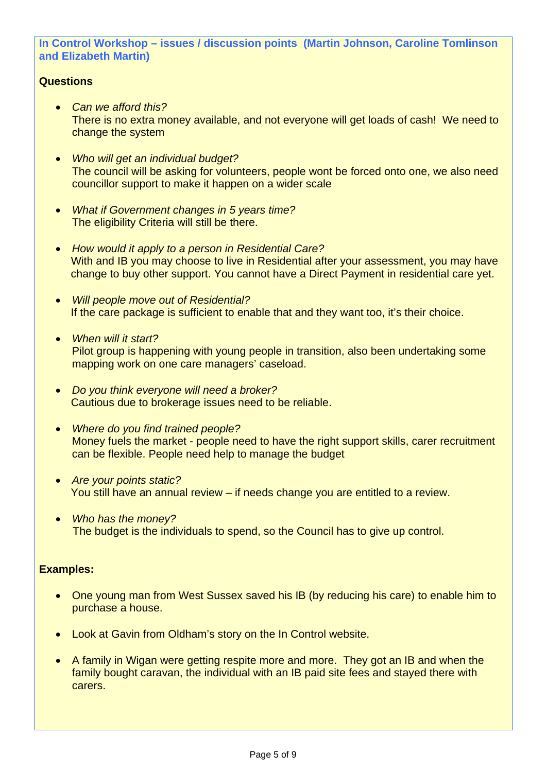## **In Control Workshop – issues / discussion points (Martin Johnson, Caroline Tomlinson and Elizabeth Martin)**

## **Questions**

- *Can we afford this?*  There is no extra money available, and not everyone will get loads of cash! We need to change the system
- *Who will get an individual budget?*  The council will be asking for volunteers, people wont be forced onto one, we also need councillor support to make it happen on a wider scale
- *What if Government changes in 5 years time?*  The eligibility Criteria will still be there.
- *How would it apply to a person in Residential Care?*  With and IB you may choose to live in Residential after your assessment, you may have change to buy other support. You cannot have a Direct Payment in residential care yet.
- *Will people move out of Residential?*  If the care package is sufficient to enable that and they want too, it's their choice.
- *When will it start?*  Pilot group is happening with young people in transition, also been undertaking some mapping work on one care managers' caseload.
- *Do you think everyone will need a broker?*  Cautious due to brokerage issues need to be reliable.
- *Where do you find trained people?*  Money fuels the market - people need to have the right support skills, carer recruitment can be flexible. People need help to manage the budget
- *Are your points static?*  You still have an annual review – if needs change you are entitled to a review.
- *Who has the money?*  The budget is the individuals to spend, so the Council has to give up control.

#### **Examples:**

- One young man from West Sussex saved his IB (by reducing his care) to enable him to purchase a house.
- Look at Gavin from Oldham's story on the In Control website.
- A family in Wigan were getting respite more and more. They got an IB and when the family bought caravan, the individual with an IB paid site fees and stayed there with carers.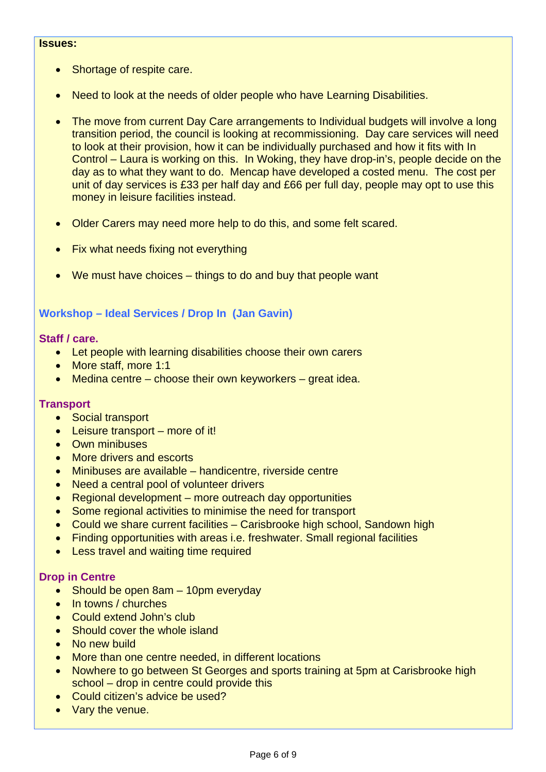#### **Issues:**

- Shortage of respite care.
- Need to look at the needs of older people who have Learning Disabilities.
- The move from current Day Care arrangements to Individual budgets will involve a long transition period, the council is looking at recommissioning. Day care services will need to look at their provision, how it can be individually purchased and how it fits with In Control – Laura is working on this. In Woking, they have drop-in's, people decide on the day as to what they want to do. Mencap have developed a costed menu. The cost per unit of day services is £33 per half day and £66 per full day, people may opt to use this money in leisure facilities instead.
- Older Carers may need more help to do this, and some felt scared.
- Fix what needs fixing not everything
- We must have choices things to do and buy that people want

## **Workshop – Ideal Services / Drop In (Jan Gavin)**

### **Staff / care.**

- Let people with learning disabilities choose their own carers
- More staff, more 1:1
- Medina centre choose their own keyworkers great idea.

#### **Transport**

- Social transport
- Leisure transport more of it!
- Own minibuses
- More drivers and escorts
- Minibuses are available handicentre, riverside centre
- Need a central pool of volunteer drivers
- Regional development more outreach day opportunities
- Some regional activities to minimise the need for transport
- Could we share current facilities Carisbrooke high school, Sandown high
- Finding opportunities with areas i.e. freshwater. Small regional facilities
- Less travel and waiting time required

## **Drop in Centre**

- Should be open 8am 10pm everyday
- In towns / churches
- Could extend John's club
- Should cover the whole island
- No new build
- More than one centre needed, in different locations
- Nowhere to go between St Georges and sports training at 5pm at Carisbrooke high school – drop in centre could provide this
- Could citizen's advice be used?
- Vary the venue.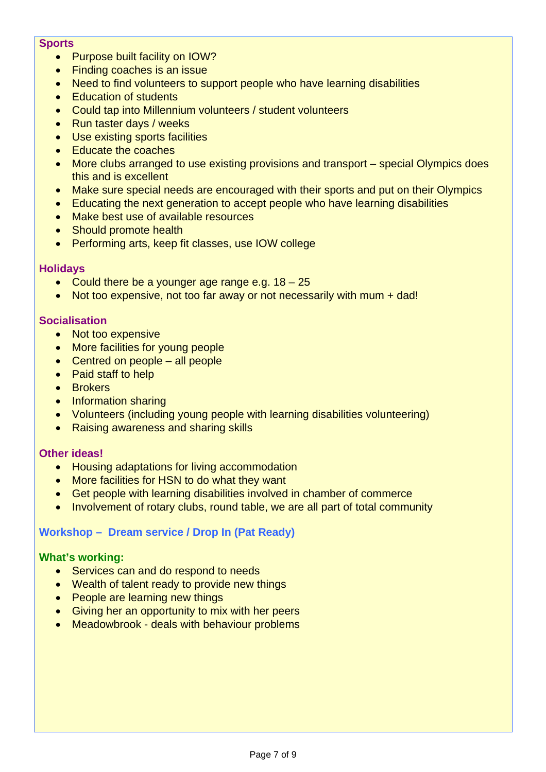#### **Sports**

- Purpose built facility on IOW?
- Finding coaches is an issue
- Need to find volunteers to support people who have learning disabilities
- Education of students
- Could tap into Millennium volunteers / student volunteers
- Run taster days / weeks
- Use existing sports facilities
- Educate the coaches
- More clubs arranged to use existing provisions and transport special Olympics does this and is excellent
- Make sure special needs are encouraged with their sports and put on their Olympics
- Educating the next generation to accept people who have learning disabilities
- Make best use of available resources
- Should promote health
- Performing arts, keep fit classes, use IOW college

#### **Holidays**

- Could there be a younger age range e.g.  $18 25$
- Not too expensive, not too far away or not necessarily with mum + dad!

## **Socialisation**

- Not too expensive
- More facilities for young people
- Centred on people all people
- Paid staff to help
- Brokers
- Information sharing
- Volunteers (including young people with learning disabilities volunteering)
- Raising awareness and sharing skills

#### **Other ideas!**

- Housing adaptations for living accommodation
- More facilities for HSN to do what they want
- Get people with learning disabilities involved in chamber of commerce
- Involvement of rotary clubs, round table, we are all part of total community

## **Workshop – Dream service / Drop In (Pat Ready)**

### **What's working:**

- Services can and do respond to needs
- Wealth of talent ready to provide new things
- People are learning new things
- Giving her an opportunity to mix with her peers
- Meadowbrook deals with behaviour problems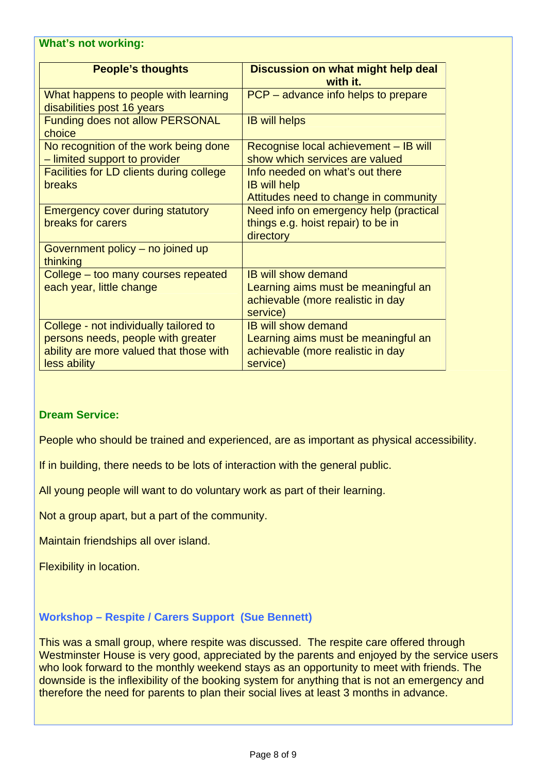| <b>What's not working:</b>                                                                                                              |                                                                                                                    |
|-----------------------------------------------------------------------------------------------------------------------------------------|--------------------------------------------------------------------------------------------------------------------|
| <b>People's thoughts</b>                                                                                                                | Discussion on what might help deal<br>with it.                                                                     |
| What happens to people with learning<br>disabilities post 16 years                                                                      | PCP – advance info helps to prepare                                                                                |
| <b>Funding does not allow PERSONAL</b><br>choice                                                                                        | <b>IB will helps</b>                                                                                               |
| No recognition of the work being done<br>- limited support to provider                                                                  | Recognise local achievement - IB will<br>show which services are valued                                            |
| Facilities for LD clients during college<br>breaks                                                                                      | Info needed on what's out there<br><b>IB will help</b><br>Attitudes need to change in community                    |
| <b>Emergency cover during statutory</b><br>breaks for carers                                                                            | Need info on emergency help (practical<br>things e.g. hoist repair) to be in<br>directory                          |
| Government policy – no joined up<br>thinking                                                                                            |                                                                                                                    |
| College - too many courses repeated<br>each year, little change                                                                         | <b>IB will show demand</b><br>Learning aims must be meaningful an<br>achievable (more realistic in day<br>service) |
| College - not individually tailored to<br>persons needs, people with greater<br>ability are more valued that those with<br>less ability | <b>IB will show demand</b><br>Learning aims must be meaningful an<br>achievable (more realistic in day<br>service) |

## **Dream Service:**

People who should be trained and experienced, are as important as physical accessibility.

If in building, there needs to be lots of interaction with the general public.

All young people will want to do voluntary work as part of their learning.

Not a group apart, but a part of the community.

Maintain friendships all over island.

Flexibility in location.

## **Workshop – Respite / Carers Support (Sue Bennett)**

This was a small group, where respite was discussed. The respite care offered through Westminster House is very good, appreciated by the parents and enjoyed by the service users who look forward to the monthly weekend stays as an opportunity to meet with friends. The downside is the inflexibility of the booking system for anything that is not an emergency and therefore the need for parents to plan their social lives at least 3 months in advance.